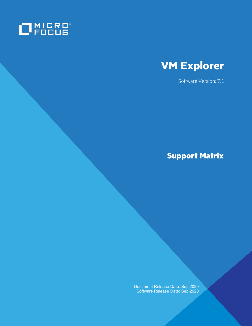



Software Version: 7.1

# **Support Matrix**

Document Release Date: Sep 2020 Software Release Date: Sep 2020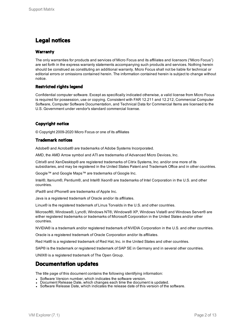### **Legal notices**

### **Warranty**

The only warranties for products and services of Micro Focus and its affiliates and licensors ("Micro Focus") are set forth in the express warranty statements accompanying such products and services. Nothing herein should be construed as constituting an additional warranty. Micro Focus shall not be liable for technical or editorial errors or omissions contained herein. The information contained herein is subject to change without notice.

### **Restricted rights legend**

Confidential computer software. Except as specifically indicated otherwise, a valid license from Micro Focus is required for possession, use or copying. Consistent with FAR 12.211 and 12.212, Commercial Computer Software, Computer Software Documentation, and Technical Data for Commercial Items are licensed to the U.S. Government under vendor's standard commercial license.

### **Copyright notice**

© Copyright 2009-2020 Micro Focus or one of its affiliates

#### **Trademark notices**

Adobe® and Acrobat® are trademarks of Adobe Systems Incorporated.

AMD, the AMD Arrow symbol and ATI are trademarks of Advanced Micro Devices, Inc.

Citrix® and XenDesktop® are registered trademarks of Citrix Systems, Inc. and/or one more of its subsidiaries, and may be registered in the United States Patent and Trademark Office and in other countries.

Google™ and Google Maps™ are trademarks of Google Inc.

Intel®, Itanium®, Pentium®, and Intel® Xeon® are trademarks of Intel Corporation in the U.S. and other countries.

iPad® and iPhone® are trademarks of Apple Inc.

Java is a registered trademark of Oracle and/or its affiliates.

Linux® is the registered trademark of Linus Torvalds in the U.S. and other countries.

Microsoft®, Windows®, Lync®, Windows NT®, Windows® XP, Windows Vista® and Windows Server® are either registered trademarks or trademarks of Microsoft Corporation in the United States and/or other countries.

NVIDIA® is a trademark and/or registered trademark of NVIDIA Corporation in the U.S. and other countries.

Oracle is a registered trademark of Oracle Corporation and/or its affiliates.

Red Hat® is a registered trademark of Red Hat, Inc. in the United States and other countries.

SAP® is the trademark or registered trademark of SAP SE in Germany and in several other countries.

UNIX® is a registered trademark of The Open Group.

### **Documentation updates**

The title page of this document contains the following identifying information:

- Software Version number, which indicates the software version.
- Document Release Date, which changes each time the document is updated.
- Software Release Date, which indicates the release date of this version of the software.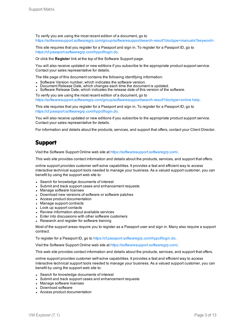To verify you are using the most recent edition of a document, go to [https://softwaresupport.softwaregrp.com/group/softwaresupport/search-result?doctype=manuals?keyword=.](https://softwaresupport.softwaregrp.com/group/softwaresupport/search-result?doctype=manuals?keyword=)

This site requires that you register for a Passport and sign in. To register for a Passport ID, go to <https://cf.passport.softwaregrp.com/hppcf/login.do>.

Or click the **Register** link at the top of the Software Support page.

You will also receive updated or new editions if you subscribe to the appropriate product support service. Contact your sales representative for details.

The title page of this document contains the following identifying information:

- Software Version number, which indicates the software version.
- Document Release Date, which changes each time the document is updated.
- <sup>l</sup> Software Release Date, which indicates the release date of this version of the software.

To verify you are using the most recent edition of a document, go to [https://softwaresupport.softwaregrp.com/group/softwaresupport/search-result?doctype=online](https://softwaresupport.softwaregrp.com/group/softwaresupport/search-result?doctype=online help) help.

This site requires that you register for a Passport and sign in. To register for a Passport ID, go to <https://cf.passport.softwaregrp.com/hppcf/login.do>.

You will also receive updated or new editions if you subscribe to the appropriate product support service. Contact your sales representative for details.

For information and details about the products, services, and support that offers, contact your Client Director.

### **Support**

Visit the Software Support Online web site at <https://softwaresupport.softwaregrp.com/>.

This web site provides contact information and details about the products, services, and support that offers.

online support provides customer self-solve capabilities. It provides a fast and efficient way to access interactive technical support tools needed to manage your business. As a valued support customer, you can benefit by using the support web site to:

- Search for knowledge documents of interest
- Submit and track support cases and enhancement requests
- Manage software licenses
- Download new versions of software or software patches
- Access product documentation
- Manage support contracts
- Look up support contacts
- Review information about available services
- Enter into discussions with other software customers
- Research and register for software training

Most of the support areas require you to register as a Passport user and sign in. Many also require a support contract.

To register for a Passport ID, go to [https://cf.passport.softwaregrp.com/hppcf/login.do.](https://cf.passport.softwaregrp.com/hppcf/login.do)

Visit the Software Support Online web site at <https://softwaresupport.softwaregrp.com/>.

This web site provides contact information and details about the products, services, and support that offers.

online support provides customer self-solve capabilities. It provides a fast and efficient way to access interactive technical support tools needed to manage your business. As a valued support customer, you can benefit by using the support web site to:

- Search for knowledge documents of interest
- Submit and track support cases and enhancement requests
- Manage software licenses
- Download software
- Access product documentation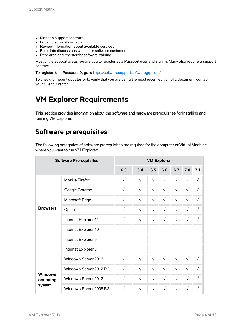- Manage support contracts
- Look up support contacts
- Review information about available services
- Enter into discussions with other software customers
- Research and register for software training

Most of the support areas require you to register as a Passport user and sign in. Many also require a support contract.

To register for a Passport ID, go to <https://softwaresupport.softwaregrp.com/>.

To check for recent updates or to verify that you are using the most recent edition of a document, contact your Client Director.

## **VM Explorer Requirements**

This section provides information about the software and hardware prerequisites for installing and running VM Explorer.

## **Software prerequisites**

The following categories of software prerequisites are required for the computer or Virtual Machine where you want to run VM Explorer:

|                             | <b>Software Prerequisites</b> |            |            |            | <b>VM Explorer</b> |            |           |            |
|-----------------------------|-------------------------------|------------|------------|------------|--------------------|------------|-----------|------------|
|                             |                               | 6.3        | 6.4        | 6.5        | 6.6                | 6.7        | 7.0       | 7.1        |
|                             | Mozilla Firefox               | $\sqrt{}$  | $\sqrt{}$  | $\sqrt{}$  | $\sqrt{}$          | $\sqrt{ }$ | $\sqrt{}$ | $\sqrt{ }$ |
|                             | Google Chrome                 | $\sqrt{2}$ | $\sqrt{2}$ | $\sqrt{}$  | $\sqrt{ }$         | $\sqrt{}$  | $\sqrt{}$ | $\sqrt{ }$ |
|                             | Microsoft Edge                | $\sqrt{}$  | $\sqrt{2}$ | $\sqrt{2}$ | $\sqrt{ }$         | $\sqrt{ }$ | $\sqrt{}$ | $\sqrt{2}$ |
| <b>Browsers</b>             | Opera                         | $\sqrt{2}$ | $\sqrt{2}$ | $\sqrt{ }$ | $\sqrt{2}$         | $\sqrt{ }$ | $\sqrt{}$ | $\sqrt{ }$ |
|                             | Internet Explorer 11          | $\sqrt{2}$ | $\sqrt{2}$ | $\sqrt{2}$ | $\sqrt{}$          | $\sqrt{}$  | $\sqrt{}$ | $\sqrt{ }$ |
|                             | Internet Explorer 10          |            |            |            |                    |            |           |            |
|                             | Internet Explorer 9           |            |            |            |                    |            |           |            |
|                             | Internet Explorer 8           |            |            |            |                    |            |           |            |
|                             | Windows Server 2016           | $\sqrt{}$  | $\sqrt{2}$ | $\sqrt{2}$ | $\sqrt{}$          | $\sqrt{ }$ | $\sqrt{}$ | $\sqrt{ }$ |
|                             | Windows Server 2012 R2        | $\sqrt{}$  | $\sqrt{2}$ | $\sqrt{ }$ | $\sqrt{2}$         | $\sqrt{ }$ | $\sqrt{}$ | $\sqrt{ }$ |
| <b>Windows</b><br>operating | Windows Server 2012           | $\sqrt{2}$ | $\sqrt{2}$ | $\sqrt{ }$ | $\sqrt{}$          | $\sqrt{}$  | $\sqrt{}$ | $\sqrt{ }$ |
| system                      | Windows Server 2008 R2        | $\sqrt{}$  | $\sqrt{}$  | $\sqrt{}$  | $\sqrt{}$          | $\sqrt{}$  | $\sqrt{}$ | $\sqrt{}$  |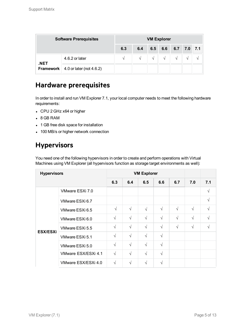| <b>Software Prerequisites</b> |                                                   | <b>VM Explorer</b> |               |               |            |                       |            |  |  |  |  |
|-------------------------------|---------------------------------------------------|--------------------|---------------|---------------|------------|-----------------------|------------|--|--|--|--|
|                               |                                                   | 6.3                | 6.4           |               |            | $6.5$ 6.6 6.7 7.0 7.1 |            |  |  |  |  |
| .NET                          | 4.6.2 or later                                    |                    | $\mathcal{N}$ | $\mathcal{N}$ | $\sqrt{ }$ | $\sqrt{ }$            | $\sqrt{ }$ |  |  |  |  |
|                               | <b>Framework</b> $\vert$ 4.0 or later (not 4.6.2) |                    |               |               |            |                       |            |  |  |  |  |

## **Hardware prerequisites**

In order to install and run VM Explorer 7.1, your local computer needs to meet the following hardware requirements:

- CPU 2 GHz x64 or higher
- $-8$  GB RAM
- 1 GB free disk space for installation
- 100 MB/s or higher network connection

## **Hypervisors**

You need one of the following hypervisors in order to create and perform operations with Virtual Machines using VM Explorer (all hypervisors function as storage target environments as well):

| <b>Hypervisors</b> |                     |            | <b>VM Explorer</b> |            |            |            |            |            |
|--------------------|---------------------|------------|--------------------|------------|------------|------------|------------|------------|
|                    |                     | 6.3        | 6.4                | 6.5        | 6.6        | 6.7        | 7.0        | 7.1        |
|                    | VMware ESXi 7.0     |            |                    |            |            |            |            | $\sqrt{ }$ |
|                    | VMware ESXi 6.7     |            |                    |            |            |            |            | V          |
|                    | VMware ESXi 6.5     | $\sqrt{ }$ | $\sqrt{}$          | $\sqrt{ }$ | $\sqrt{ }$ | $\sqrt{ }$ | $\sqrt{}$  | V          |
|                    | VMware ESXi 6.0     | $\sqrt{ }$ | $\sqrt{ }$         | $\sqrt{ }$ | $\sqrt{ }$ | $\sqrt{ }$ | $\sqrt{ }$ | $\sqrt{}$  |
|                    | VMware ESXi 5.5     | $\sqrt{ }$ | $\sqrt{}$          | $\sqrt{ }$ | $\sqrt{ }$ | $\sqrt{ }$ | $\sqrt{}$  | V          |
| <b>ESX/ESXi</b>    | VMware ESXi 5.1     | $\sqrt{ }$ | $\sqrt{ }$         | $\sqrt{ }$ | $\sqrt{ }$ |            |            |            |
|                    | VMware ESXi 5.0     | $\sqrt{}$  | $\sqrt{ }$         | $\sqrt{ }$ | $\sqrt{ }$ |            |            |            |
|                    | VMware ESX/ESXi 4.1 | $\sqrt{ }$ | $\sqrt{}$          | $\sqrt{ }$ | $\sqrt{ }$ |            |            |            |
|                    | VMware ESX/ESXi 4.0 | $\sqrt{ }$ | $\sqrt{}$          | $\sqrt{ }$ | $\sqrt{ }$ |            |            |            |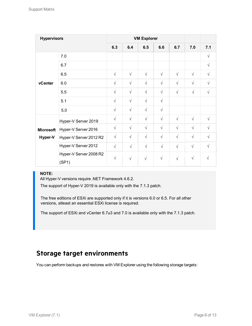| <b>Hypervisors</b> |                                 |            |            | <b>VM Explorer</b> |            |            |            |            |
|--------------------|---------------------------------|------------|------------|--------------------|------------|------------|------------|------------|
|                    |                                 | 6.3        | 6.4        | 6.5                | 6.6        | 6.7        | 7.0        | 7.1        |
|                    | 7.0                             |            |            |                    |            |            |            | $\sqrt{}$  |
|                    | 6.7                             |            |            |                    |            |            |            | $\sqrt{}$  |
|                    | 6.5                             | $\sqrt{ }$ | $\sqrt{ }$ | $\sqrt{ }$         | $\sqrt{ }$ | $\sqrt{ }$ | $\sqrt{ }$ | $\sqrt{}$  |
| vCenter            | 6.0                             | $\sqrt{ }$ | $\sqrt{ }$ | $\sqrt{ }$         | $\sqrt{ }$ | $\sqrt{ }$ | $\sqrt{ }$ | $\sqrt{}$  |
|                    | 5.5                             | $\sqrt{ }$ | $\sqrt{ }$ | $\sqrt{}$          | $\sqrt{ }$ | $\sqrt{}$  | $\sqrt{ }$ | $\sqrt{2}$ |
|                    | 5.1                             | $\sqrt{ }$ | $\sqrt{}$  | $\sqrt{}$          | $\sqrt{ }$ |            |            |            |
|                    | $5.0$                           | $\sqrt{ }$ | $\sqrt{ }$ | $\sqrt{ }$         | $\sqrt{ }$ |            |            |            |
|                    | Hyper-V Server 2019             | $\sqrt{ }$ | $\sqrt{}$  | $\sqrt{}$          | $\sqrt{ }$ | $\sqrt{ }$ | $\sqrt{ }$ | $\sqrt{}$  |
| <b>Microsoft</b>   | Hyper-V Server 2016             | $\sqrt{ }$ | $\sqrt{ }$ | $\sqrt{ }$         | $\sqrt{ }$ | $\sqrt{ }$ | $\sqrt{ }$ | $\sqrt{}$  |
| Hyper-V            | Hyper-V Server 2012 R2          | $\sqrt{}$  | $\sqrt{}$  | $\sqrt{}$          | $\sqrt{ }$ | $\sqrt{ }$ | $\sqrt{ }$ | $\sqrt{}$  |
|                    | Hyper-V Server 2012             | $\sqrt{ }$ | $\sqrt{ }$ | $\sqrt{ }$         | $\sqrt{2}$ | $\sqrt{}$  | $\sqrt{ }$ | $\sqrt{}$  |
|                    | Hyper-V Server 2008 R2<br>(SP1) | $\sqrt{ }$ | $\sqrt{ }$ | $\sqrt{2}$         | $\sqrt{ }$ | $\sqrt{}$  | $\sqrt{}$  |            |

#### **NOTE:**

All Hyper-V versions require .NET Framework 4.6.2.

The support of Hyper-V 2019 is available only with the 7.1.3 patch.

The free editions of ESXi are supported only if it is versions 6.0 or 6.5. For all other versions, atleast an essential ESXi license is required.

The support of ESXi and vCenter 6.7u3 and 7.0 is available only with the 7.1.3 patch.

## **Storage target environments**

You can perform backups and restores with VM Explorer using the following storage targets: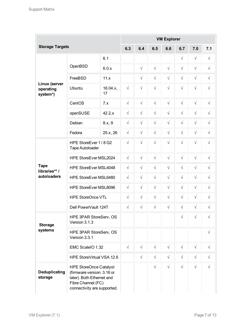|                                        |                                                                                                                                               |                |            |            |           | <b>VM Explorer</b> |            |            |            |
|----------------------------------------|-----------------------------------------------------------------------------------------------------------------------------------------------|----------------|------------|------------|-----------|--------------------|------------|------------|------------|
| <b>Storage Targets</b>                 |                                                                                                                                               |                | 6.3        | 6.4        | 6.5       | 6.6                | 6.7        | 7.0        | 7.1        |
|                                        |                                                                                                                                               | 6.1            |            |            |           |                    | $\sqrt{}$  | $\sqrt{}$  | $\sqrt{}$  |
|                                        | OpenBSD                                                                                                                                       | 6.0.x          |            | $\sqrt{ }$ | $\sqrt{}$ | $\sqrt{}$          | $\sqrt{}$  | $\sqrt{}$  | $\sqrt{}$  |
|                                        | FreeBSD                                                                                                                                       | 11.x           |            | $\sqrt{ }$ | $\sqrt{}$ | $\sqrt{}$          | $\sqrt{}$  | $\sqrt{}$  | $\sqrt{}$  |
| Linux (server<br>operating<br>system*) | Ubuntu                                                                                                                                        | 16.04.x,<br>17 | $\sqrt{}$  | $\sqrt{}$  | $\sqrt{}$ | $\sqrt{ }$         | $\sqrt{ }$ | $\sqrt{ }$ | $\sqrt{}$  |
|                                        | CentOS                                                                                                                                        | 7.x            | $\sqrt{}$  | $\sqrt{ }$ | $\sqrt{}$ | $\sqrt{ }$         | $\sqrt{}$  | $\sqrt{ }$ | $\sqrt{}$  |
|                                        | openSUSE                                                                                                                                      | 42.2.x         | $\sqrt{}$  | $\sqrt{ }$ | $\sqrt{}$ | $\sqrt{ }$         | $\sqrt{}$  | $\sqrt{}$  | $\sqrt{}$  |
|                                        | Debian                                                                                                                                        | 8.x, 9         | $\sqrt{}$  | $\sqrt{ }$ | $\sqrt{}$ | $\sqrt{ }$         | $\sqrt{}$  | $\sqrt{}$  | $\sqrt{}$  |
|                                        | Fedora                                                                                                                                        | 25.x, 26       | $\sqrt{ }$ | $\sqrt{ }$ | $\sqrt{}$ | $\sqrt{ }$         | $\sqrt{}$  | $\sqrt{}$  | $\sqrt{}$  |
|                                        | HPE StoreEver 1 / 8 G2<br><b>Tape Autoloader</b>                                                                                              |                | $\sqrt{}$  | $\sqrt{ }$ | $\sqrt{}$ | $\sqrt{}$          | $\sqrt{}$  | $\sqrt{ }$ | $\sqrt{}$  |
|                                        | HPE StoreEver MSL2024                                                                                                                         |                | $\sqrt{}$  | $\sqrt{}$  | $\sqrt{}$ | $\sqrt{}$          | $\sqrt{}$  | $\sqrt{}$  | $\sqrt{}$  |
| <b>Tape</b><br>libraries** /           | HPE StoreEver MSL4048                                                                                                                         |                | $\sqrt{}$  | $\sqrt{}$  | $\sqrt{}$ | $\sqrt{}$          | $\sqrt{}$  | $\sqrt{}$  | $\sqrt{}$  |
| autoloaders                            | HPE StoreEver MSL6480                                                                                                                         |                | $\sqrt{}$  | $\sqrt{}$  | $\sqrt{}$ | $\sqrt{}$          | $\sqrt{}$  | $\sqrt{}$  | $\sqrt{}$  |
|                                        | HPE StoreEver MSL8096                                                                                                                         |                | $\sqrt{}$  | $\sqrt{}$  | $\sqrt{}$ | $\sqrt{}$          | $\sqrt{}$  | $\sqrt{}$  | $\sqrt{}$  |
|                                        | <b>HPE StoreOnce VTL</b>                                                                                                                      |                | $\sqrt{}$  | $\sqrt{ }$ | $\sqrt{}$ | $\sqrt{}$          | $\sqrt{}$  | $\sqrt{}$  | $\sqrt{}$  |
|                                        | Dell PowerVault 124T                                                                                                                          |                | $\sqrt{}$  | $\sqrt{ }$ | $\sqrt{}$ | $\sqrt{}$          | $\sqrt{}$  | $\sqrt{}$  | $\sqrt{}$  |
| <b>Storage</b>                         | HPE 3PAR StoreServ, OS<br>Version 3.1.3                                                                                                       |                |            |            |           |                    | $\sqrt{ }$ | $\sqrt{ }$ | $\sqrt{ }$ |
| systems                                | HPE 3PAR StoreServ, OS<br>Version 3.3.1                                                                                                       |                |            |            |           |                    |            |            | $\sqrt{}$  |
|                                        | EMC ScaleIO 1.32                                                                                                                              |                | $\sqrt{}$  | $\sqrt{}$  | $\sqrt{}$ | $\sqrt{}$          | $\sqrt{}$  | $\sqrt{}$  | $\sqrt{}$  |
|                                        | HPE StoreVirtual VSA 12.6                                                                                                                     |                |            | $\sqrt{}$  | $\sqrt{}$ | $\sqrt{ }$         | $\sqrt{}$  | $\sqrt{}$  | $\sqrt{}$  |
| Deduplicating<br>storage               | <b>HPE StoreOnce Catalyst</b><br>(firmware version: 3.16 or<br>later). Both Ethernet and<br>Fibre Channel (FC)<br>connectivity are supported. |                |            |            | $\sqrt{}$ | $\sqrt{ }$         | $\sqrt{}$  | $\sqrt{}$  | $\sqrt{}$  |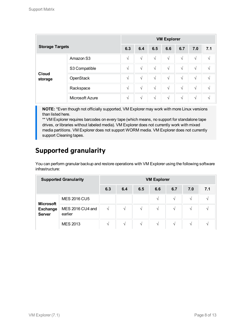| <b>Storage Targets</b>  |                 | <b>VM Explorer</b> |            |            |            |            |            |     |  |  |  |
|-------------------------|-----------------|--------------------|------------|------------|------------|------------|------------|-----|--|--|--|
|                         |                 | 6.3                | 6.4        | 6.5        | 6.6        | 6.7        | 7.0        | 7.1 |  |  |  |
|                         | Amazon S3       | $\sqrt{ }$         | $\sqrt{ }$ | $\sqrt{ }$ | $\sqrt{ }$ | $\sqrt{ }$ | $\sqrt{ }$ | V   |  |  |  |
|                         | S3 Compatible   | $\sqrt{}$          | $\sqrt{ }$ | $\sqrt{ }$ | $\sqrt{ }$ | $\sqrt{ }$ | $\sqrt{ }$ | V   |  |  |  |
| <b>Cloud</b><br>storage | OpenStack       | V                  | $\sqrt{ }$ | $\sqrt{ }$ | $\sqrt{ }$ | $\sqrt{}$  | $\sqrt{ }$ | V   |  |  |  |
| Rackspace               |                 | $\sqrt{}$          | $\sqrt{ }$ | $\sqrt{ }$ | $\sqrt{ }$ | $\sqrt{ }$ | $\sqrt{ }$ | V   |  |  |  |
|                         | Microsoft Azure | $\sqrt{}$          | $\sqrt{ }$ | $\sqrt{ }$ | $\sqrt{ }$ | V          | $\sqrt{ }$ | N   |  |  |  |

**NOTE:** \*Even though not officially supported, VM Explorer may work with more Linux versions than listed here.

\*\* VM Explorer requires barcodes on every tape (which means, no support for standalone tape drives, or libraries without labeled media). VM Explorer does not currently work with mixed media partitions. VM Explorer does not support WORM media. VM Explorer does not currently support Cleaning tapes.

## **Supported granularity**

You can perform granular backup and restore operations with VM Explorer using the following software infrastructure:

| <b>Supported Granularity</b>                         |                             | <b>VM Explorer</b> |               |     |          |               |               |  |  |  |  |
|------------------------------------------------------|-----------------------------|--------------------|---------------|-----|----------|---------------|---------------|--|--|--|--|
|                                                      | 6.3                         | 6.4                | 6.5           | 6.6 | 6.7      | 7.0           | 7.1           |  |  |  |  |
|                                                      | <b>MES 2016 CU5</b>         |                    |               |     | $\gamma$ | $\mathcal{N}$ | V             |  |  |  |  |
| <b>Microsoft</b><br><b>Exchange</b><br><b>Server</b> | MES 2016 CU4 and<br>earlier | $\sqrt{ }$         | V             | V   | N        | V             | V             |  |  |  |  |
|                                                      | <b>MES 2013</b>             | $\mathcal{N}$      | $\mathcal{N}$ | V   | N        | $\mathcal{N}$ | $\mathcal{N}$ |  |  |  |  |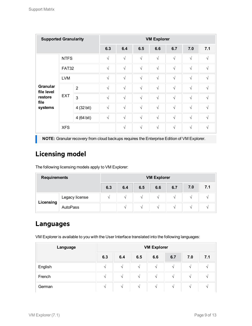| <b>Supported Granularity</b>  |              |                |            |            |            | <b>VM Explorer</b> |            |            |            |
|-------------------------------|--------------|----------------|------------|------------|------------|--------------------|------------|------------|------------|
|                               |              |                | 6.3        | 6.4        | 6.5        | 6.6                | 6.7        | 7.0        | 7.1        |
|                               | <b>NTFS</b>  |                | $\sqrt{ }$ | $\sqrt{ }$ | $\sqrt{ }$ | $\sqrt{}$          | $\sqrt{ }$ | $\sqrt{}$  | $\sqrt{ }$ |
|                               | <b>FAT32</b> |                | $\sqrt{ }$ | $\sqrt{ }$ | $\sqrt{ }$ | $\sqrt{ }$         | $\sqrt{ }$ | $\sqrt{}$  | $\sqrt{ }$ |
|                               | <b>LVM</b>   |                | $\sqrt{ }$ | $\sqrt{ }$ | $\sqrt{ }$ | $\sqrt{ }$         | $\sqrt{ }$ | $\sqrt{2}$ | $\sqrt{}$  |
| <b>Granular</b><br>file level |              | $\overline{2}$ | $\sqrt{ }$ | $\sqrt{ }$ | $\sqrt{ }$ | $\sqrt{ }$         | $\sqrt{ }$ | $\sqrt{2}$ | $\sqrt{ }$ |
| restore<br>file               | <b>EXT</b>   | 3              | $\sqrt{ }$ | $\sqrt{ }$ | $\sqrt{ }$ | $\sqrt{ }$         | $\sqrt{ }$ | $\sqrt{ }$ | $\sqrt{ }$ |
| systems                       |              | 4 (32 bit)     | $\sqrt{ }$ | $\sqrt{ }$ | $\sqrt{ }$ | $\sqrt{ }$         | $\sqrt{ }$ | $\sqrt{ }$ | V          |
|                               |              | 4 (64 bit)     | $\sqrt{ }$ | $\sqrt{}$  | $\sqrt{ }$ | $\sqrt{ }$         | $\sqrt{ }$ | $\sqrt{2}$ | V          |
|                               | <b>XFS</b>   |                |            | $\sqrt{ }$ | $\sqrt{ }$ | $\sqrt{ }$         | $\sqrt{ }$ | $\sqrt{2}$ | V          |

**NOTE:** Granular recovery from cloud backups requires the Enterprise Edition of VM Explorer.

## **Licensing model**

The following licensing models apply to VM Explorer:

| <b>Requirements</b> | <b>VM Explorer</b>                     |                 |               |               |          |  |     |  |  |  |
|---------------------|----------------------------------------|-----------------|---------------|---------------|----------|--|-----|--|--|--|
|                     | 7.0<br>6.7<br>6.3<br>6.4<br>6.5<br>6.6 |                 |               |               |          |  | 7.1 |  |  |  |
|                     | Legacy license                         |                 | $\mathcal{N}$ | $\mathcal{N}$ | $\Delta$ |  |     |  |  |  |
| Licensing           |                                        | $\triangleleft$ | $\sim$        | $\Delta$      |          |  |     |  |  |  |

## **Languages**

VM Explorer is available to you with the User Interface translated into the following languages:

| Language | <b>VM Explorer</b> |               |               |               |               |               |                          |  |  |  |  |
|----------|--------------------|---------------|---------------|---------------|---------------|---------------|--------------------------|--|--|--|--|
|          | 6.3                | 6.4           | 6.5           | 6.6           | 6.7           | 7.0           | 7.1                      |  |  |  |  |
| English  | $\mathbf{v}$       | $\mathcal{N}$ | $\Delta$      | $\mathcal{N}$ | $\mathcal{N}$ | $\mathcal{N}$ |                          |  |  |  |  |
| French   | $\mathcal{N}$      | $\sqrt{ }$    | $\sim$        | $\mathcal{N}$ | $\sim$        | $\mathcal{N}$ | $\overline{\phantom{a}}$ |  |  |  |  |
| German   | $\mathcal{N}$      | $\mathcal{N}$ | $\mathcal{N}$ | $\mathcal{N}$ | $\mathcal{N}$ | $\mathcal{N}$ | $\overline{\phantom{a}}$ |  |  |  |  |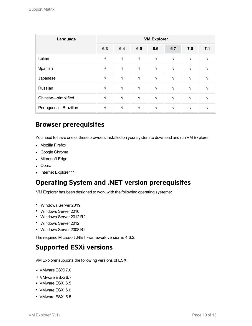| Language             | <b>VM Explorer</b> |            |               |            |            |            |     |  |  |  |  |
|----------------------|--------------------|------------|---------------|------------|------------|------------|-----|--|--|--|--|
|                      | 6.3                | 6.4        | 6.5           | 6.6        | 6.7        | 7.0        | 7.1 |  |  |  |  |
| Italian              | $\sqrt{}$          | $\sqrt{ }$ | $\sqrt{ }$    | $\sqrt{ }$ | $\sqrt{ }$ | $\sqrt{ }$ |     |  |  |  |  |
| Spanish              | $\sqrt{ }$         | $\sqrt{ }$ | $\sqrt{ }$    | $\sqrt{ }$ | $\sqrt{ }$ | $\sqrt{ }$ |     |  |  |  |  |
| Japanese             | $\sqrt{}$          | $\sqrt{ }$ | $\sqrt{ }$    | $\sqrt{ }$ | $\sqrt{ }$ | $\sqrt{ }$ |     |  |  |  |  |
| Russian              | $\sqrt{ }$         | $\sqrt{ }$ | N             | $\sqrt{ }$ | $\sqrt{ }$ | V          |     |  |  |  |  |
| Chinese-simplified   | $\sqrt{ }$         | $\sqrt{ }$ | $\sqrt{ }$    | $\sqrt{ }$ | $\sqrt{ }$ | $\sqrt{ }$ |     |  |  |  |  |
| Portuguese-Brazilian | $\sqrt{}$          | $\sqrt{ }$ | $\mathcal{N}$ | $\sqrt{ }$ | $\sqrt{ }$ | $\sqrt{}$  |     |  |  |  |  |

## **Browser prerequisites**

You need to have one of these browsers installed on your system to download and run VM Explorer:

- Mozilla Firefox
- Google Chrome
- Microsoft Edge
- Opera
- Internet Explorer 11

## **Operating System and .NET version prerequisites**

VM Explorer has been designed to work with the following operating systems:

- Windows Server 2019 l
- Windows Server 2016
- Windows Server 2012 R2
- Windows Server 2012
- Windows Server 2008 R2

The required Microsoft .NET Framework version is 4.6.2.

### **Supported ESXi versions**

VM Explorer supports the following versions of ESXi:

- VMware ESXi 7.0
- VMware ESXi 6.7
- VMware ESXi 6.5
- VMware ESXi 6.0
- VMware ESXi 5.5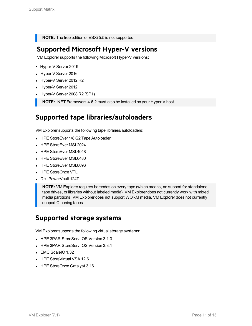**NOTE:** The free edition of ESXi 5.5 is not supported.

## **Supported Microsoft Hyper-V versions**

VM Explorer supports the following Microsoft Hyper-V versions:

- Hyper-V Server 2019
- Hyper-V Server 2016
- Hyper-V Server 2012 R2
- Hyper-V Server 2012
- Hyper-V Server 2008 R2 (SP1)

**NOTE:** .NET Framework 4.6.2 must also be installed on your Hyper-V host.

## **Supported tape libraries/autoloaders**

VM Explorer supports the following tape libraries/autoloaders:

- HPE StoreEver 1/8 G2 Tape Autoloader
- HPE StoreEver MSL2024
- **HPE StoreEver MSL4048**
- HPE StoreEver MSL6480
- HPE StoreEver MSL8096
- HPE StoreOnce VTL
- Dell PowerVault 124T

**NOTE:** VM Explorer requires barcodes on every tape (which means, no support for standalone tape drives, or libraries without labeled media). VM Explorer does not currently work with mixed media partitions. VM Explorer does not support WORM media. VM Explorer does not currently support Cleaning tapes.

## **Supported storage systems**

VM Explorer supports the following virtual storage systems:

- HPE 3PAR StoreServ, OS Version 3.1.3
- HPE 3PAR StoreServ, OS Version 3.3.1
- $\blacksquare$  EMC ScaleIO 1.32
- HPE StoreVirtual VSA 12.6
- HPE StoreOnce Catalyst 3.16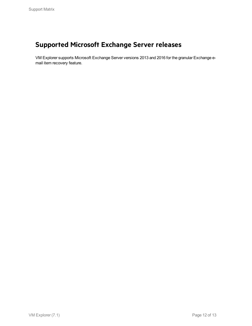# **Supported Microsoft Exchange Server releases**

VM Explorer supports Microsoft Exchange Server versions 2013 and 2016 for the granular Exchange email item recovery feature.